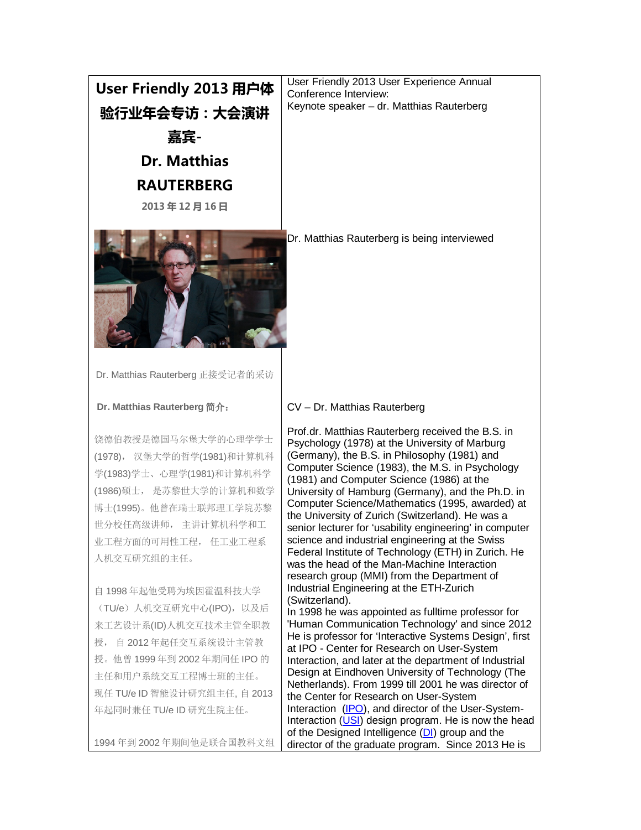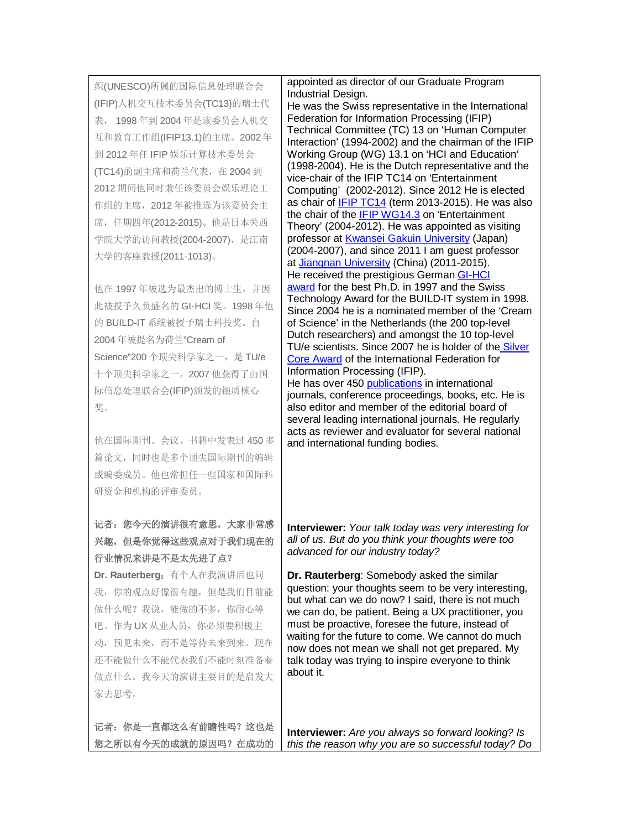织(UNESCO)所属的国际信息处理联合会 (IFIP)人机交互技术委员会(TC13)的瑞士代 表, 1998 年到 2004 年是该委员会人机交 互和教育工作组(IFIP13.1)的主席。2002 年 到 2012 年任 IFIP 娱乐计算技术委员会 (TC14)的副主席和荷兰代表,在 2004 到 2012 期间他同时兼任该委员会娱乐理论工 作组的主席,2012 年被推选为该委员会主 席,任期四年(2012-2015)。他是日本关西 学院大学的访问教授(2004-2007),是江南 大学的客座教授(2011-1013)。

他在 1997 年被选为最杰出的博士生,并因 此被授予久负盛名的 GI-HCI 奖。1998 年他 的 BUILD-IT 系统被授予瑞士科技奖。自 2004 年被提名为荷兰"Cream of Science"200 个顶尖科学家之一,是 TU/e 十个顶尖科学家之一。2007 他获得了由国 际信息处理联合会(IFIP)颁发的银质核心 奖。

他在国际期刊、会议、书籍中发表过 450 多 篇论文,同时也是多个顶尖国际期刊的编辑 或编委成员。他也常担任一些国家和国际科 研资金和机构的评审委员。

## 记者:您今天的演讲很有意思,大家非常感 兴趣,但是你觉得这些观点对于我们现在的 行业情况来讲是不是太先进了点? **Dr. Rauterberg**:有个人在我演讲后也问

我,你的观点好像很有趣,但是我们目前能 做什么呢?我说,能做的不多,你耐心等 吧。作为 UX 从业人员,你必须要积极主 动,预见未来,而不是等待未来到来。现在 还不能做什么不能代表我们不能时刻准备着 做点什么。我今天的演讲主要目的是启发大 家去思考。

记者:你是一直都这么有前瞻性吗?这也是 您之所以有今天的成就的原因吗?在成功的

appointed as director of our Graduate Program Industrial Design.

He was the Swiss representative in the International Federation for Information Processing (IFIP) Technical Committee (TC) 13 on 'Human Computer Interaction' (1994-2002) and the chairman of the IFIP Working Group (WG) 13.1 on 'HCI and Education' (1998-2004). He is the Dutch representative and the vice-chair of the IFIP TC14 on 'Entertainment Computing' (2002-2012). Since 2012 He is elected as chair of **[IFIP TC14](http://www.org.id.tue.nl/IFIP-TC14/index.html)** (term 2013-2015). He was also the chair of the [IFIP WG14.3](http://www.org.id.tue.nl/IFIP-WG14.3/index.html) on 'Entertainment Theory' (2004-2012). He was appointed as visiting professor at [Kwansei Gakuin University](http://www.kwansei.ac.jp/english/index_english.html) (Japan) (2004-2007), and since 2011 I am guest professor at [Jiangnan University](http://www.jiangnan.edu.cn/english/index.html) (China) (2011-2015). He received the prestigious German **GI-HCI** [award](http://fb-mci.gi.de/mensch-computer-interaktion-mci/ehrungen-und-preise.html) for the best Ph.D. in 1997 and the Swiss Technology Award for the BUILD-IT system in 1998. Since 2004 he is a nominated member of the 'Cream of Science' in the Netherlands (the 200 top-level Dutch researchers) and amongst the 10 top-level

TU/e scientists. Since 2007 he is holder of the Silver [Core Award](http://www.ifip.org/index.php?option=com_content&task=view&id=84&Itemid=156) of the International Federation for Information Processing (IFIP). He has over 450 [publications](http://www.idemployee.id.tue.nl/g.w.m.rauterberg/references-all.html) in international

journals, conference proceedings, books, etc. He is also editor and member of the editorial board of several leading international journals. He regularly acts as reviewer and evaluator for several national and international funding bodies.

**Interviewer:** *Your talk today was very interesting for all of us. But do you think your thoughts were too advanced for our industry today?*

**Dr. Rauterberg**: Somebody asked the similar question: your thoughts seem to be very interesting, but what can we do now? I said, there is not much we can do, be patient. Being a UX practitioner, you must be proactive, foresee the future, instead of waiting for the future to come. We cannot do much now does not mean we shall not get prepared. My talk today was trying to inspire everyone to think about it.

**Interviewer:** *Are you always so forward looking? Is this the reason why you are so successful today? Do*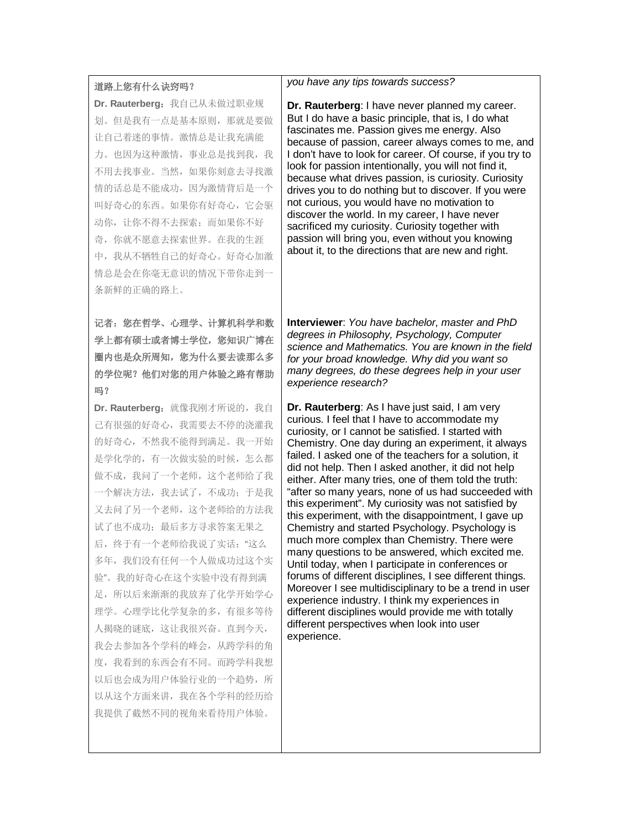## 道路上您有什么诀窍吗?

**Dr. Rauterberg**:我自己从未做过职业规 划。但是我有一点是基本原则,那就是要做 让自己着迷的事情。激情总是让我充满能 力。也因为这种激情,事业总是找到我,我 不用去找事业。当然,如果你刻意去寻找激 情的话总是不能成功,因为激情背后是一个 叫好奇心的东西。如果你有好奇心,它会驱 动你,让你不得不去探索;而如果你不好 奇,你就不愿意去探索世界。在我的生涯 中,我从不牺牲自己的好奇心。好奇心加激 情总是会在你毫无意识的情况下带你走到一 条新鲜的正确的路上。

记者:您在哲学、心理学、计算机科学和数 学上都有硕士或者博士学位,您知识广博在 圈内也是众所周知,您为什么要去读那么多 的学位呢?他们对您的用户体验之路有帮助 吗?

Dr. Rauterberg: 就像我刚才所说的, 我自 己有很强的好奇心,我需要去不停的浇灌我 的好奇心,不然我不能得到满足。我一开始 是学化学的,有一次做实验的时候,怎么都 做不成,我问了一个老师,这个老师给了我 一个解决方法,我去试了,不成功;于是我 又去问了另一个老师,这个老师给的方法我 试了也不成功;最后多方寻求答案无果之 后,终于有一个老师给我说了实话:"这么 多年,我们没有任何一个人做成功过这个实 验"。我的好奇心在这个实验中没有得到满 足,所以后来渐渐的我放弃了化学开始学心 理学。心理学比化学复杂的多,有很多等待 人揭晓的谜底,这让我很兴奋。直到今天, 我会去参加各个学科的峰会,从跨学科的角 度,我看到的东西会有不同。而跨学科我想 以后也会成为用户体验行业的一个趋势,所 以从这个方面来讲,我在各个学科的经历给 我提供了截然不同的视角来看待用户体验。

## *you have any tips towards success?*

**Dr. Rauterberg**: I have never planned my career. But I do have a basic principle, that is, I do what fascinates me. Passion gives me energy. Also because of passion, career always comes to me, and I don't have to look for career. Of course, if you try to look for passion intentionally, you will not find it, because what drives passion, is curiosity. Curiosity drives you to do nothing but to discover. If you were not curious, you would have no motivation to discover the world. In my career, I have never sacrificed my curiosity. Curiosity together with passion will bring you, even without you knowing about it, to the directions that are new and right.

**Interviewer**: *You have bachelor, master and PhD degrees in Philosophy, Psychology, Computer science and Mathematics. You are known in the field for your broad knowledge. Why did you want so many degrees, do these degrees help in your user experience research?*

**Dr. Rauterberg**: As I have just said, I am very curious. I feel that I have to accommodate my curiosity, or I cannot be satisfied. I started with Chemistry. One day during an experiment, it always failed. I asked one of the teachers for a solution, it did not help. Then I asked another, it did not help either. After many tries, one of them told the truth: "after so many years, none of us had succeeded with this experiment". My curiosity was not satisfied by this experiment, with the disappointment, I gave up Chemistry and started Psychology. Psychology is much more complex than Chemistry. There were many questions to be answered, which excited me. Until today, when I participate in conferences or forums of different disciplines, I see different things. Moreover I see multidisciplinary to be a trend in user experience industry. I think my experiences in different disciplines would provide me with totally different perspectives when look into user experience.